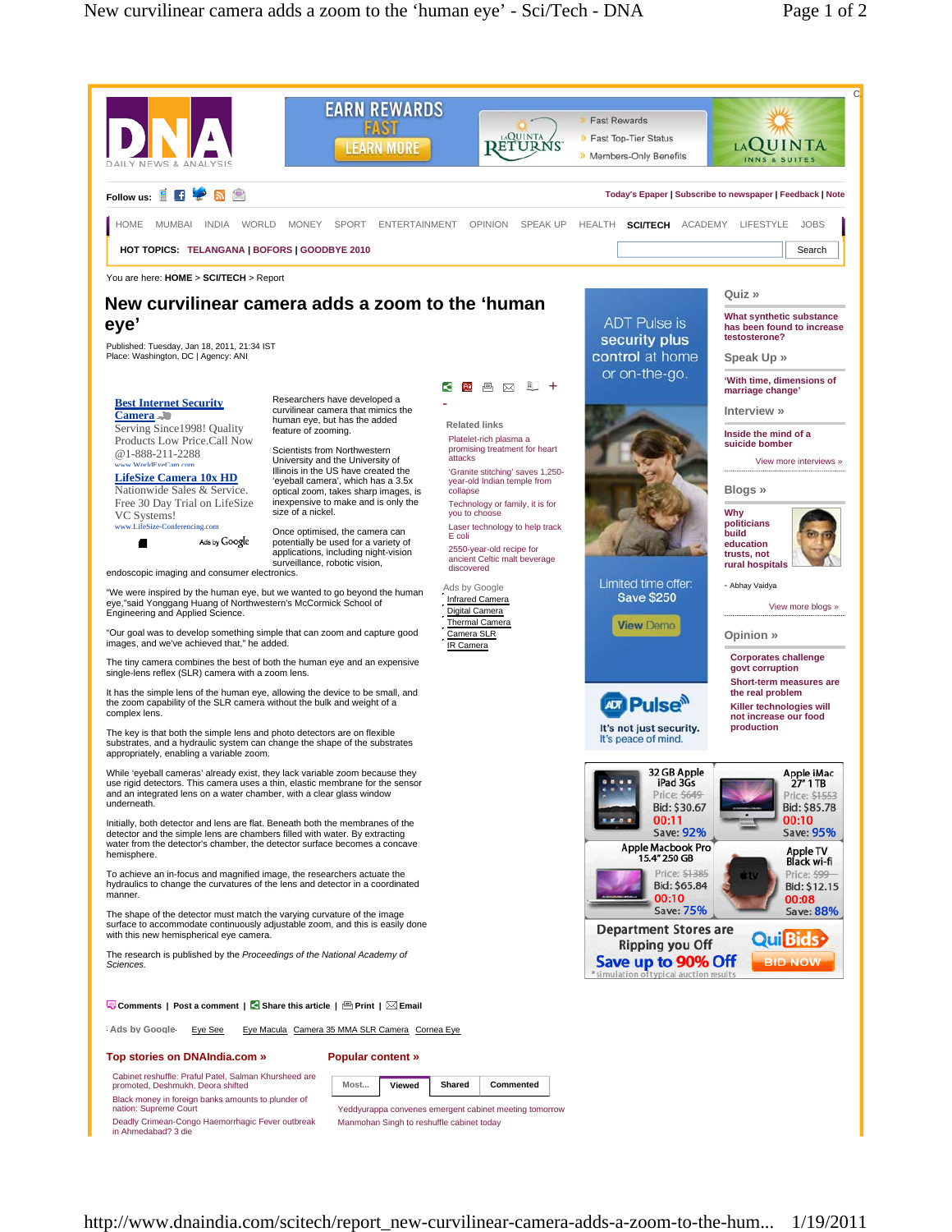